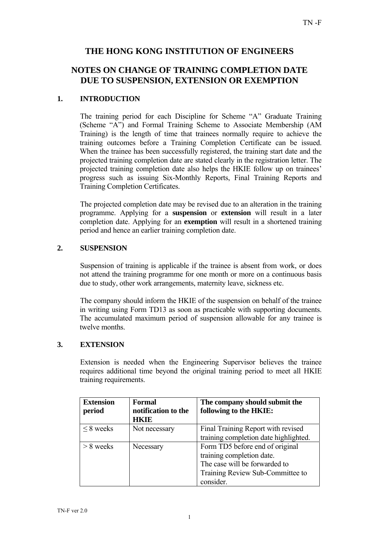## **THE HONG KONG INSTITUTION OF ENGINEERS**

# **NOTES ON CHANGE OF TRAINING COMPLETION DATE DUE TO SUSPENSION, EXTENSION OR EXEMPTION**

## **1. INTRODUCTION**

The training period for each Discipline for Scheme "A" Graduate Training (Scheme "A") and Formal Training Scheme to Associate Membership (AM Training) is the length of time that trainees normally require to achieve the training outcomes before a Training Completion Certificate can be issued. When the trainee has been successfully registered, the training start date and the projected training completion date are stated clearly in the registration letter. The projected training completion date also helps the HKIE follow up on trainees' progress such as issuing Six-Monthly Reports, Final Training Reports and Training Completion Certificates.

The projected completion date may be revised due to an alteration in the training programme. Applying for a **suspension** or **extension** will result in a later completion date. Applying for an **exemption** will result in a shortened training period and hence an earlier training completion date.

#### **2. SUSPENSION**

Suspension of training is applicable if the trainee is absent from work, or does not attend the training programme for one month or more on a continuous basis due to study, other work arrangements, maternity leave, sickness etc.

The company should inform the HKIE of the suspension on behalf of the trainee in writing using Form TD13 as soon as practicable with supporting documents. The accumulated maximum period of suspension allowable for any trainee is twelve months.

## **3. EXTENSION**

Extension is needed when the Engineering Supervisor believes the trainee requires additional time beyond the original training period to meet all HKIE training requirements.

| <b>Extension</b><br>period | Formal<br>notification to the<br>HKIE | The company should submit the<br>following to the HKIE: |
|----------------------------|---------------------------------------|---------------------------------------------------------|
| $\leq$ 8 weeks             | Not necessary                         | Final Training Report with revised                      |
|                            |                                       | training completion date highlighted.                   |
| $> 8$ weeks                | Necessary                             | Form TD5 before end of original                         |
|                            |                                       | training completion date.                               |
|                            |                                       | The case will be forwarded to                           |
|                            |                                       | Training Review Sub-Committee to                        |
|                            |                                       | consider.                                               |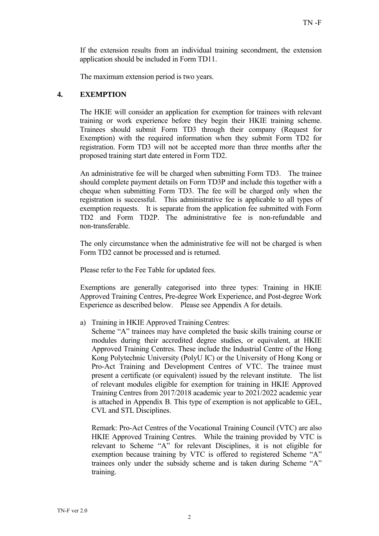If the extension results from an individual training secondment, the extension application should be included in Form TD11.

The maximum extension period is two years.

#### **4. EXEMPTION**

The HKIE will consider an application for exemption for trainees with relevant training or work experience before they begin their HKIE training scheme. Trainees should submit Form TD3 through their company (Request for Exemption) with the required information when they submit Form TD2 for registration. Form TD3 will not be accepted more than three months after the proposed training start date entered in Form TD2.

An administrative fee will be charged when submitting Form TD3. The trainee should complete payment details on Form TD3P and include this together with a cheque when submitting Form TD3. The fee will be charged only when the registration is successful. This administrative fee is applicable to all types of exemption requests. It is separate from the application fee submitted with Form TD2 and Form TD2P. The administrative fee is non-refundable and non-transferable.

The only circumstance when the administrative fee will not be charged is when Form TD2 cannot be processed and is returned.

Please refer to the Fee Table for updated fees.

Exemptions are generally categorised into three types: Training in HKIE Approved Training Centres, Pre-degree Work Experience, and Post-degree Work Experience as described below. Please see Appendix A for details.

- a) Training in HKIE Approved Training Centres:
	- Scheme "A" trainees may have completed the basic skills training course or modules during their accredited degree studies, or equivalent, at HKIE Approved Training Centres. These include the Industrial Centre of the Hong Kong Polytechnic University (PolyU IC) or the University of Hong Kong or Pro-Act Training and Development Centres of VTC. The trainee must present a certificate (or equivalent) issued by the relevant institute. The list of relevant modules eligible for exemption for training in HKIE Approved Training Centres from 2017/2018 academic year to 2021/2022 academic year is attached in Appendix B. This type of exemption is not applicable to GEL, CVL and STL Disciplines.

Remark: Pro-Act Centres of the Vocational Training Council (VTC) are also HKIE Approved Training Centres. While the training provided by VTC is relevant to Scheme "A" for relevant Disciplines, it is not eligible for exemption because training by VTC is offered to registered Scheme "A" trainees only under the subsidy scheme and is taken during Scheme "A" training.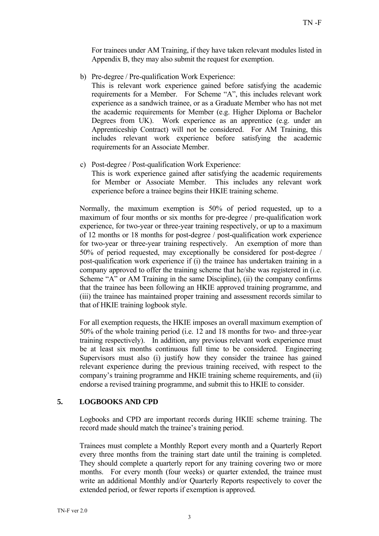For trainees under AM Training, if they have taken relevant modules listed in Appendix B, they may also submit the request for exemption.

b) Pre-degree / Pre-qualification Work Experience:

This is relevant work experience gained before satisfying the academic requirements for a Member. For Scheme "A", this includes relevant work experience as a sandwich trainee, or as a Graduate Member who has not met the academic requirements for Member (e.g. Higher Diploma or Bachelor Degrees from UK). Work experience as an apprentice (e.g. under an Apprenticeship Contract) will not be considered. For AM Training, this includes relevant work experience before satisfying the academic requirements for an Associate Member.

c) Post-degree / Post-qualification Work Experience:

This is work experience gained after satisfying the academic requirements for Member or Associate Member. This includes any relevant work experience before a trainee begins their HKIE training scheme.

Normally, the maximum exemption is 50% of period requested, up to a maximum of four months or six months for pre-degree / pre-qualification work experience, for two-year or three-year training respectively, or up to a maximum of 12 months or 18 months for post-degree / post-qualification work experience for two-year or three-year training respectively. An exemption of more than 50% of period requested, may exceptionally be considered for post-degree / post-qualification work experience if (i) the trainee has undertaken training in a company approved to offer the training scheme that he/she was registered in (i.e. Scheme "A" or AM Training in the same Discipline), (ii) the company confirms that the trainee has been following an HKIE approved training programme, and (iii) the trainee has maintained proper training and assessment records similar to that of HKIE training logbook style.

For all exemption requests, the HKIE imposes an overall maximum exemption of 50% of the whole training period (i.e. 12 and 18 months for two- and three-year training respectively). In addition, any previous relevant work experience must be at least six months continuous full time to be considered. Engineering Supervisors must also (i) justify how they consider the trainee has gained relevant experience during the previous training received, with respect to the company's training programme and HKIE training scheme requirements, and (ii) endorse a revised training programme, and submit this to HKIE to consider.

## **5. LOGBOOKS AND CPD**

Logbooks and CPD are important records during HKIE scheme training. The record made should match the trainee's training period.

Trainees must complete a Monthly Report every month and a Quarterly Report every three months from the training start date until the training is completed. They should complete a quarterly report for any training covering two or more months. For every month (four weeks) or quarter extended, the trainee must write an additional Monthly and/or Quarterly Reports respectively to cover the extended period, or fewer reports if exemption is approved.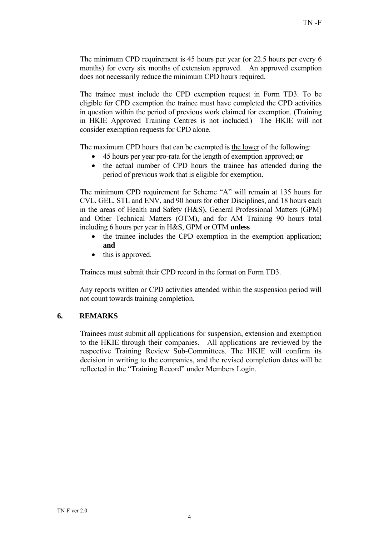The minimum CPD requirement is 45 hours per year (or 22.5 hours per every 6 months) for every six months of extension approved. An approved exemption does not necessarily reduce the minimum CPD hours required.

The trainee must include the CPD exemption request in Form TD3. To be eligible for CPD exemption the trainee must have completed the CPD activities in question within the period of previous work claimed for exemption. (Training in HKIE Approved Training Centres is not included.) The HKIE will not consider exemption requests for CPD alone.

The maximum CPD hours that can be exempted is the lower of the following:

- 45 hours per year pro-rata for the length of exemption approved; **or**
- the actual number of CPD hours the trainee has attended during the period of previous work that is eligible for exemption.

The minimum CPD requirement for Scheme "A" will remain at 135 hours for CVL, GEL, STL and ENV, and 90 hours for other Disciplines, and 18 hours each in the areas of Health and Safety (H&S), General Professional Matters (GPM) and Other Technical Matters (OTM), and for AM Training 90 hours total including 6 hours per year in H&S, GPM or OTM **unless** 

- the trainee includes the CPD exemption in the exemption application; **and**
- this is approved.

Trainees must submit their CPD record in the format on Form TD3.

Any reports written or CPD activities attended within the suspension period will not count towards training completion.

#### **6. REMARKS**

Trainees must submit all applications for suspension, extension and exemption to the HKIE through their companies. All applications are reviewed by the respective Training Review Sub-Committees. The HKIE will confirm its decision in writing to the companies, and the revised completion dates will be reflected in the "Training Record" under Members Login.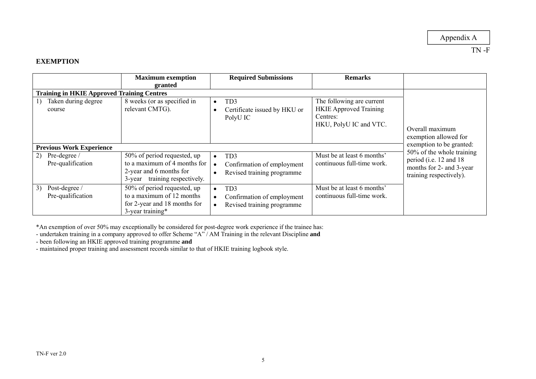#### **EXEMPTION**

|                                                   | <b>Maximum</b> exemption<br>granted                                                                                     | <b>Required Submissions</b>                                                                                        | <b>Remarks</b>                                                                                   |                                                                                                             |
|---------------------------------------------------|-------------------------------------------------------------------------------------------------------------------------|--------------------------------------------------------------------------------------------------------------------|--------------------------------------------------------------------------------------------------|-------------------------------------------------------------------------------------------------------------|
| <b>Training in HKIE Approved Training Centres</b> |                                                                                                                         |                                                                                                                    |                                                                                                  |                                                                                                             |
| Taken during degree<br>1)<br>course               | 8 weeks (or as specified in<br>relevant CMTG).                                                                          | TD <sub>3</sub><br>$\bullet$<br>Certificate issued by HKU or<br>PolyU IC                                           | The following are current<br><b>HKIE</b> Approved Training<br>Centres:<br>HKU, PolyU IC and VTC. | Overall maximum<br>exemption allowed for                                                                    |
| <b>Previous Work Experience</b>                   |                                                                                                                         |                                                                                                                    |                                                                                                  | exemption to be granted:                                                                                    |
| Pre-degree /<br>2)<br>Pre-qualification           | 50% of period requested, up<br>to a maximum of 4 months for<br>2-year and 6 months for<br>3-year training respectively. | TD <sub>3</sub><br>$\bullet$<br>Confirmation of employment<br>$\bullet$<br>Revised training programme              | Must be at least 6 months'<br>continuous full-time work.                                         | 50% of the whole training<br>period (i.e. 12 and 18)<br>months for 2- and 3-year<br>training respectively). |
| Post-degree /<br>3)<br>Pre-qualification          | 50% of period requested, up<br>to a maximum of 12 months<br>for 2-year and 18 months for<br>3-year training*            | TD <sub>3</sub><br>$\bullet$<br>Confirmation of employment<br>$\bullet$<br>Revised training programme<br>$\bullet$ | Must be at least 6 months'<br>continuous full-time work.                                         |                                                                                                             |

\*An exemption of over 50% may exceptionally be considered for post-degree work experience if the trainee has:

- undertaken training in a company approved to offer Scheme "A" / AM Training in the relevant Discipline **and**

- been following an HKIE approved training programme **and** 

- maintained proper training and assessment records similar to that of HKIE training logbook style.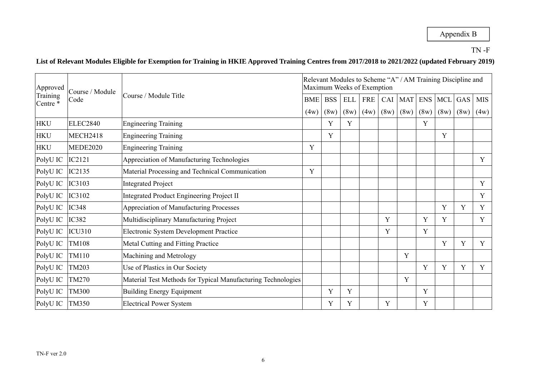## **List of Relevant Modules Eligible for Exemption for Training in HKIE Approved Training Centres from 2017/2018 to 2021/2022 (updated February 2019)**

| Approved             | Course / Module               |                                                              |            |      |      | Maximum Weeks of Exemption |            | Relevant Modules to Scheme "A" / AM Training Discipline and |            |     |               |      |
|----------------------|-------------------------------|--------------------------------------------------------------|------------|------|------|----------------------------|------------|-------------------------------------------------------------|------------|-----|---------------|------|
| Training<br>Centre * | Course / Module Title<br>Code | <b>BME</b>                                                   | <b>BSS</b> | ELL  | FRE  | CAI                        | <b>MAT</b> | ENS                                                         | <b>MCL</b> | GAS | <b>MIS</b>    |      |
|                      |                               |                                                              | (4w)       | (8w) | (8w) | (4w)                       | (8w)       | (8w)                                                        | (8w)       |     | $(8w)$ $(8w)$ | (4w) |
| <b>HKU</b>           | <b>ELEC2840</b>               | <b>Engineering Training</b>                                  |            | Y    | Y    |                            |            |                                                             | Y          |     |               |      |
| <b>HKU</b>           | <b>MECH2418</b>               | <b>Engineering Training</b>                                  |            | Y    |      |                            |            |                                                             |            | Y   |               |      |
| <b>HKU</b>           | <b>MEDE2020</b>               | <b>Engineering Training</b>                                  | Y          |      |      |                            |            |                                                             |            |     |               |      |
| PolyU IC             | IC2121                        | Appreciation of Manufacturing Technologies                   |            |      |      |                            |            |                                                             |            |     |               | Y    |
| PolyU IC             | <b>IC2135</b>                 | Material Processing and Technical Communication              | Y          |      |      |                            |            |                                                             |            |     |               |      |
| PolyU IC             | IC3103                        | <b>Integrated Project</b>                                    |            |      |      |                            |            |                                                             |            |     |               | Y    |
| PolyU IC             | IC3102                        | <b>Integrated Product Engineering Project II</b>             |            |      |      |                            |            |                                                             |            |     |               | Y    |
| PolyU IC             | <b>IC348</b>                  | <b>Appreciation of Manufacturing Processes</b>               |            |      |      |                            |            |                                                             |            | Y   | Y             | Y    |
| PolyU IC             | <b>IC382</b>                  | Multidisciplinary Manufacturing Project                      |            |      |      |                            | Y          |                                                             | Y          | Y   |               | Y    |
| PolyU IC             | <b>ICU310</b>                 | Electronic System Development Practice                       |            |      |      |                            | Y          |                                                             | Y          |     |               |      |
| PolyU IC             | <b>TM108</b>                  | <b>Metal Cutting and Fitting Practice</b>                    |            |      |      |                            |            |                                                             |            | Y   | Y             | Y    |
| PolyU IC             | <b>TM110</b>                  | Machining and Metrology                                      |            |      |      |                            |            | Y                                                           |            |     |               |      |
| PolyU IC             | TM203                         | Use of Plastics in Our Society                               |            |      |      |                            |            |                                                             | Y          | Y   | Y             | Y    |
| PolyU IC             | <b>TM270</b>                  | Material Test Methods for Typical Manufacturing Technologies |            |      |      |                            |            | Y                                                           |            |     |               |      |
| PolyU IC             | <b>TM300</b>                  | <b>Building Energy Equipment</b>                             |            | Y    | Y    |                            |            |                                                             | Y          |     |               |      |
| PolyU IC             | <b>TM350</b>                  | <b>Electrical Power System</b>                               |            | Y    | Y    |                            | Y          |                                                             | Y          |     |               |      |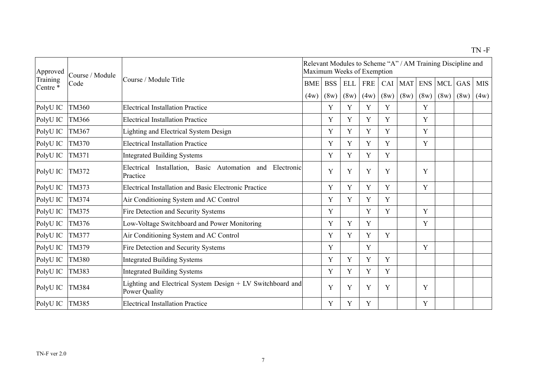| Approved             | Course / Module |                                                                             | Relevant Modules to Scheme "A" / AM Training Discipline and<br>Maximum Weeks of Exemption |            |            |            |      |            |             |                |      |            |  |  |  |
|----------------------|-----------------|-----------------------------------------------------------------------------|-------------------------------------------------------------------------------------------|------------|------------|------------|------|------------|-------------|----------------|------|------------|--|--|--|
| Training<br>Centre * | Code            | Course / Module Title                                                       | <b>BME</b>                                                                                | <b>BSS</b> | <b>ELL</b> | <b>FRE</b> | CAI  | <b>MAT</b> |             | <b>ENS MCL</b> | GAS  | <b>MIS</b> |  |  |  |
|                      |                 |                                                                             | (4w)                                                                                      | (8w)       | (8w)       | (4w)       | (8w) | (8w)       | (8w)        | (8w)           | (8w) | (4w)       |  |  |  |
| PolyU IC             | <b>TM360</b>    | <b>Electrical Installation Practice</b>                                     |                                                                                           | Y          | Y          | Y          | Y    |            | Y           |                |      |            |  |  |  |
| PolyU IC             | <b>TM366</b>    | <b>Electrical Installation Practice</b>                                     |                                                                                           | Y          | Y          | Y          | Y    |            | Y           |                |      |            |  |  |  |
| PolyU IC             | TM367           | Lighting and Electrical System Design                                       |                                                                                           | Y          | Y          | Y          | Y    |            | Y           |                |      |            |  |  |  |
| PolyU IC             | <b>TM370</b>    | <b>Electrical Installation Practice</b>                                     |                                                                                           | Y          | Y          | Y          | Y    |            | $\mathbf Y$ |                |      |            |  |  |  |
| PolyU IC             | TM371           | <b>Integrated Building Systems</b>                                          |                                                                                           | Y          | Y          | Y          | Y    |            |             |                |      |            |  |  |  |
| PolyU IC             | TM372           | Installation, Basic Automation and Electronic<br>Electrical<br>Practice     |                                                                                           | Y          | Y          | Y          | Y    |            | Y           |                |      |            |  |  |  |
| PolyU IC             | TM373           | Electrical Installation and Basic Electronic Practice                       |                                                                                           | Y          | Y          | Y          | Y    |            | Y           |                |      |            |  |  |  |
| PolyU IC             | TM374           | Air Conditioning System and AC Control                                      |                                                                                           | Y          | Y          | Y          | Y    |            |             |                |      |            |  |  |  |
| PolyU IC             | TM375           | Fire Detection and Security Systems                                         |                                                                                           | Y          |            | Y          | Y    |            | Y           |                |      |            |  |  |  |
| PolyU IC             | TM376           | Low-Voltage Switchboard and Power Monitoring                                |                                                                                           | Y          | Y          | Y          |      |            | Y           |                |      |            |  |  |  |
| PolyU IC             | TM377           | Air Conditioning System and AC Control                                      |                                                                                           | Y          | Y          | Y          | Y    |            |             |                |      |            |  |  |  |
| PolyU IC             | TM379           | Fire Detection and Security Systems                                         |                                                                                           | Y          |            | Y          |      |            | Y           |                |      |            |  |  |  |
| PolyU IC             | <b>TM380</b>    | <b>Integrated Building Systems</b>                                          |                                                                                           | Y          | Y          | Y          | Y    |            |             |                |      |            |  |  |  |
| PolyU IC             | TM383           | <b>Integrated Building Systems</b>                                          |                                                                                           | Y          | Y          | Y          | Y    |            |             |                |      |            |  |  |  |
| PolyU IC             | TM384           | Lighting and Electrical System Design + LV Switchboard and<br>Power Quality |                                                                                           | Y          | Y          | Y          | Y    |            | Y           |                |      |            |  |  |  |
| PolyU IC             | <b>TM385</b>    | <b>Electrical Installation Practice</b>                                     |                                                                                           | Y          | Y          | Y          |      |            | Y           |                |      |            |  |  |  |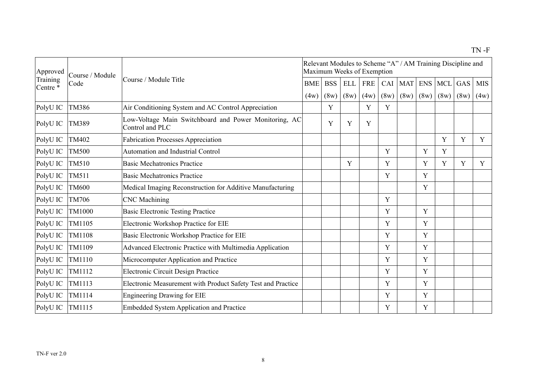| Approved<br>Training | Course / Module |                                                                          |            | Maximum Weeks of Exemption |            |            |      |            |            |            | Relevant Modules to Scheme "A" / AM Training Discipline and |            |
|----------------------|-----------------|--------------------------------------------------------------------------|------------|----------------------------|------------|------------|------|------------|------------|------------|-------------------------------------------------------------|------------|
| Centre *             | Code            | Course / Module Title                                                    | <b>BME</b> | <b>BSS</b>                 | <b>ELL</b> | <b>FRE</b> | CAI  | <b>MAT</b> | <b>ENS</b> | <b>MCL</b> | GAS                                                         | <b>MIS</b> |
|                      |                 |                                                                          | (4w)       | (8w)                       | (8w)       | (4w)       | (8w) | (8w)       | (8w)       | (8w)       | (8w)                                                        | (4w)       |
| PolyU IC             | <b>TM386</b>    | Air Conditioning System and AC Control Appreciation                      |            | Y                          |            | Y          | Y    |            |            |            |                                                             |            |
| PolyU IC             | TM389           | Low-Voltage Main Switchboard and Power Monitoring, AC<br>Control and PLC |            | Y                          | Y          | Y          |      |            |            |            |                                                             |            |
| PolyU IC             | <b>TM402</b>    | <b>Fabrication Processes Appreciation</b>                                |            |                            |            |            |      |            |            | Y          | Y                                                           | Y          |
| PolyU IC             | <b>TM500</b>    | <b>Automation and Industrial Control</b>                                 |            |                            |            |            | Y    |            | Y          | Y          |                                                             |            |
| PolyU IC             | TM510           | <b>Basic Mechatronics Practice</b>                                       |            |                            | Y          |            | Y    |            | Y          | Y          | Y                                                           | Y          |
| PolyU IC             | TM511           | <b>Basic Mechatronics Practice</b>                                       |            |                            |            |            | Y    |            | Y          |            |                                                             |            |
| PolyU IC             | <b>TM600</b>    | Medical Imaging Reconstruction for Additive Manufacturing                |            |                            |            |            |      |            | Y          |            |                                                             |            |
| PolyU IC             | <b>TM706</b>    | <b>CNC</b> Machining                                                     |            |                            |            |            | Y    |            |            |            |                                                             |            |
| PolyU IC             | <b>TM1000</b>   | <b>Basic Electronic Testing Practice</b>                                 |            |                            |            |            | Y    |            | Y          |            |                                                             |            |
| PolyU IC             | TM1105          | Electronic Workshop Practice for EIE                                     |            |                            |            |            | Y    |            | Y          |            |                                                             |            |
| PolyU IC             | <b>TM1108</b>   | Basic Electronic Workshop Practice for EIE                               |            |                            |            |            | Y    |            | Y          |            |                                                             |            |
| PolyU IC             | TM1109          | Advanced Electronic Practice with Multimedia Application                 |            |                            |            |            | Y    |            | Y          |            |                                                             |            |
| PolyU IC             | TM1110          | Microcomputer Application and Practice                                   |            |                            |            |            | Y    |            | Y          |            |                                                             |            |
| PolyU IC             | TM1112          | Electronic Circuit Design Practice                                       |            |                            |            |            | Y    |            | Y          |            |                                                             |            |
| PolyU IC             | TM1113          | Electronic Measurement with Product Safety Test and Practice             |            |                            |            |            | Y    |            | Y          |            |                                                             |            |
| PolyU IC             | TM1114          | <b>Engineering Drawing for EIE</b>                                       |            |                            |            |            | Y    |            | Y          |            |                                                             |            |
| PolyU IC             | TM1115          | <b>Embedded System Application and Practice</b>                          |            |                            |            |            | Y    |            | Y          |            |                                                             |            |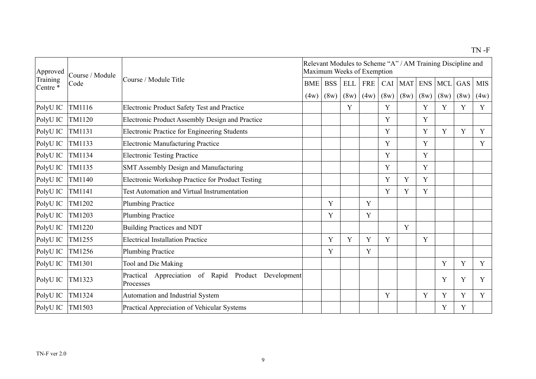| Approved             | Course / Module |                                                                     | Relevant Modules to Scheme "A" / AM Training Discipline and<br>Maximum Weeks of Exemption |            |            |            |      |            |      |                |      |             |  |  |  |
|----------------------|-----------------|---------------------------------------------------------------------|-------------------------------------------------------------------------------------------|------------|------------|------------|------|------------|------|----------------|------|-------------|--|--|--|
| Training<br>Centre * | Code            | Course / Module Title                                               | BME                                                                                       | <b>BSS</b> | <b>ELL</b> | <b>FRE</b> | CAI  | <b>MAT</b> |      | <b>ENS MCL</b> | GAS  | <b>MIS</b>  |  |  |  |
|                      |                 |                                                                     | (4w)                                                                                      | (8w)       | (8w)       | (4w)       | (8w) | (8w)       | (8w) | (8w)           | (8w) | (4w)        |  |  |  |
| PolyU IC             | TM1116          | <b>Electronic Product Safety Test and Practice</b>                  |                                                                                           |            | Y          |            | Y    |            | Y    | Y              | Y    | Y           |  |  |  |
| PolyU IC             | TM1120          | Electronic Product Assembly Design and Practice                     |                                                                                           |            |            |            | Y    |            | Y    |                |      |             |  |  |  |
| PolyU IC             | TM1131          | Electronic Practice for Engineering Students                        |                                                                                           |            |            |            | Y    |            | Y    | Y              | Y    | Y           |  |  |  |
| PolyU IC             | TM1133          | <b>Electronic Manufacturing Practice</b>                            |                                                                                           |            |            |            | Y    |            | Y    |                |      | Y           |  |  |  |
| PolyU IC             | TM1134          | <b>Electronic Testing Practice</b>                                  |                                                                                           |            |            |            | Y    |            | Y    |                |      |             |  |  |  |
| PolyU IC             | TM1135          | SMT Assembly Design and Manufacturing                               |                                                                                           |            |            |            | Y    |            | Y    |                |      |             |  |  |  |
| PolyU IC             | TM1140          | Electronic Workshop Practice for Product Testing                    |                                                                                           |            |            |            | Y    | Y          | Y    |                |      |             |  |  |  |
| PolyU IC             | TM1141          | <b>Test Automation and Virtual Instrumentation</b>                  |                                                                                           |            |            |            | Y    | Y          | Y    |                |      |             |  |  |  |
| PolyU IC             | TM1202          | <b>Plumbing Practice</b>                                            |                                                                                           | Y          |            | Y          |      |            |      |                |      |             |  |  |  |
| PolyU IC             | TM1203          | <b>Plumbing Practice</b>                                            |                                                                                           | Y          |            | Y          |      |            |      |                |      |             |  |  |  |
| PolyU IC             | TM1220          | <b>Building Practices and NDT</b>                                   |                                                                                           |            |            |            |      | Y          |      |                |      |             |  |  |  |
| PolyU IC             | TM1255          | <b>Electrical Installation Practice</b>                             |                                                                                           | Y          | Y          | Y          | Y    |            | Y    |                |      |             |  |  |  |
| PolyU IC             | TM1256          | <b>Plumbing Practice</b>                                            |                                                                                           | Y          |            | Y          |      |            |      |                |      |             |  |  |  |
| PolyU IC             | TM1301          | Tool and Die Making                                                 |                                                                                           |            |            |            |      |            |      | Y              | Y    | $\mathbf Y$ |  |  |  |
| PolyU IC             | TM1323          | Appreciation of Rapid Product Development<br>Practical<br>Processes |                                                                                           |            |            |            |      |            |      | Y              | Y    | Y           |  |  |  |
| PolyU IC             | TM1324          | Automation and Industrial System                                    |                                                                                           |            |            |            | Y    |            | Y    | Y              | Y    | Y           |  |  |  |
| PolyU IC             | TM1503          | Practical Appreciation of Vehicular Systems                         |                                                                                           |            |            |            |      |            |      | Y              | Y    |             |  |  |  |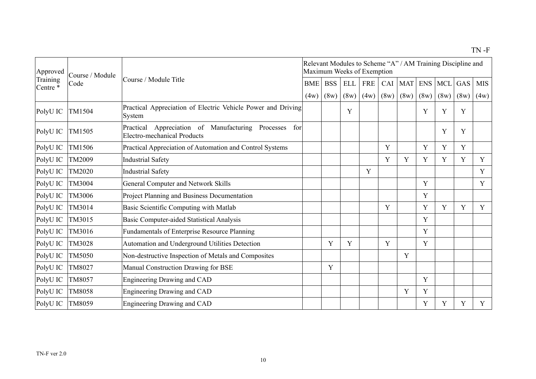| Approved             | Course / Module |                                                                                                   |                    | Maximum Weeks of Exemption |                    |                    |             |                    |             |                    | Relevant Modules to Scheme "A" / AM Training Discipline and |                    |
|----------------------|-----------------|---------------------------------------------------------------------------------------------------|--------------------|----------------------------|--------------------|--------------------|-------------|--------------------|-------------|--------------------|-------------------------------------------------------------|--------------------|
| Training<br>Centre * | Code            | Course / Module Title                                                                             | <b>BME</b><br>(4w) | <b>BSS</b><br>(8w)         | <b>ELL</b><br>(8w) | <b>FRE</b><br>(4w) | CAI<br>(8w) | <b>MAT</b><br>(8w) | ENS<br>(8w) | <b>MCL</b><br>(8w) | GAS<br>(8w)                                                 | <b>MIS</b><br>(4w) |
| PolyU IC             | TM1504          | Practical Appreciation of Electric Vehicle Power and Driving<br>System                            |                    |                            | Y                  |                    |             |                    | Y           | Y                  | Y                                                           |                    |
| PolyU IC             | TM1505          | Appreciation of Manufacturing Processes<br>Practical<br>for<br><b>Electro-mechanical Products</b> |                    |                            |                    |                    |             |                    |             | Y                  | Y                                                           |                    |
| PolyU IC             | TM1506          | Practical Appreciation of Automation and Control Systems                                          |                    |                            |                    |                    | Y           |                    | Y           | Y                  | Y                                                           |                    |
| PolyU IC             | TM2009          | <b>Industrial Safety</b>                                                                          |                    |                            |                    |                    | Y           | Y                  | Y           | Y                  | Y                                                           | Y                  |
| PolyU IC             | <b>TM2020</b>   | <b>Industrial Safety</b>                                                                          |                    |                            |                    | Y                  |             |                    |             |                    |                                                             | Y                  |
| PolyU IC             | TM3004          | <b>General Computer and Network Skills</b>                                                        |                    |                            |                    |                    |             |                    | Y           |                    |                                                             | Y                  |
| PolyU IC             | TM3006          | Project Planning and Business Documentation                                                       |                    |                            |                    |                    |             |                    | Y           |                    |                                                             |                    |
| PolyU IC             | TM3014          | Basic Scientific Computing with Matlab                                                            |                    |                            |                    |                    | Y           |                    | Y           | Y                  | Y                                                           | Y                  |
| PolyU IC             | TM3015          | Basic Computer-aided Statistical Analysis                                                         |                    |                            |                    |                    |             |                    | Y           |                    |                                                             |                    |
| PolyU IC             | TM3016          | <b>Fundamentals of Enterprise Resource Planning</b>                                               |                    |                            |                    |                    |             |                    | Y           |                    |                                                             |                    |
| PolyU IC             | TM3028          | Automation and Underground Utilities Detection                                                    |                    | Y                          | Y                  |                    | Y           |                    | Y           |                    |                                                             |                    |
| PolyU IC             | <b>TM5050</b>   | Non-destructive Inspection of Metals and Composites                                               |                    |                            |                    |                    |             | Y                  |             |                    |                                                             |                    |
| PolyU IC             | TM8027          | Manual Construction Drawing for BSE                                                               |                    | Y                          |                    |                    |             |                    |             |                    |                                                             |                    |
| PolyU IC             | TM8057          | Engineering Drawing and CAD                                                                       |                    |                            |                    |                    |             |                    | Y           |                    |                                                             |                    |
| PolyU IC             | <b>TM8058</b>   | Engineering Drawing and CAD                                                                       |                    |                            |                    |                    |             | Y                  | Y           |                    |                                                             |                    |
| PolyU IC             | TM8059          | Engineering Drawing and CAD                                                                       |                    |                            |                    |                    |             |                    | Y           | Y                  | Y                                                           | Y                  |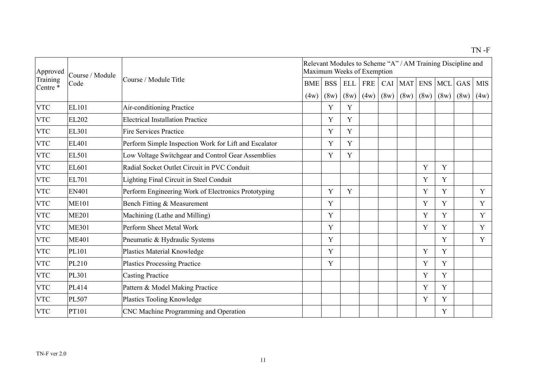| Approved             | Course / Module | Course / Module Title                                 |            | Maximum Weeks of Exemption |            |            |      | Relevant Modules to Scheme "A" / AM Training Discipline and |             |                |      |             |
|----------------------|-----------------|-------------------------------------------------------|------------|----------------------------|------------|------------|------|-------------------------------------------------------------|-------------|----------------|------|-------------|
| Training<br>Centre * | Code            |                                                       | <b>BME</b> | <b>BSS</b>                 | <b>ELL</b> | <b>FRE</b> | CAI  | <b>MAT</b>                                                  |             | <b>ENS MCL</b> | GAS  | <b>MIS</b>  |
|                      |                 |                                                       | (4w)       | (8w)                       | (8w)       | (4w)       | (8w) | (8w)                                                        | (8w)        | (8w)           | (8w) | (4w)        |
| <b>VTC</b>           | <b>EL101</b>    | <b>Air-conditioning Practice</b>                      |            | Y                          | Y          |            |      |                                                             |             |                |      |             |
| <b>VTC</b>           | EL202           | <b>Electrical Installation Practice</b>               |            | Y                          | Y          |            |      |                                                             |             |                |      |             |
| <b>VTC</b>           | EL301           | <b>Fire Services Practice</b>                         |            | Y                          | Y          |            |      |                                                             |             |                |      |             |
| <b>VTC</b>           | EL401           | Perform Simple Inspection Work for Lift and Escalator |            | Y                          | Y          |            |      |                                                             |             |                |      |             |
| <b>VTC</b>           | <b>EL501</b>    | Low Voltage Switchgear and Control Gear Assemblies    |            | Y                          | Y          |            |      |                                                             |             |                |      |             |
| <b>VTC</b>           | EL601           | Radial Socket Outlet Circuit in PVC Conduit           |            |                            |            |            |      |                                                             | Y           | Y              |      |             |
| <b>VTC</b>           | <b>EL701</b>    | Lighting Final Circuit in Steel Conduit               |            |                            |            |            |      |                                                             | Y           | Y              |      |             |
| <b>VTC</b>           | <b>EN401</b>    | Perform Engineering Work of Electronics Prototyping   |            | Y                          | Y          |            |      |                                                             | Y           | Y              |      | Y           |
| <b>VTC</b>           | <b>ME101</b>    | Bench Fitting & Measurement                           |            | Y                          |            |            |      |                                                             | Y           | Y              |      | $\mathbf Y$ |
| <b>VTC</b>           | <b>ME201</b>    | Machining (Lathe and Milling)                         |            | Y                          |            |            |      |                                                             | Y           | Y              |      | $\mathbf Y$ |
| <b>VTC</b>           | <b>ME301</b>    | Perform Sheet Metal Work                              |            | Y                          |            |            |      |                                                             | Y           | Y              |      | Y           |
| <b>VTC</b>           | <b>ME401</b>    | Pneumatic & Hydraulic Systems                         |            | Y                          |            |            |      |                                                             |             | Y              |      | Y           |
| <b>VTC</b>           | PL101           | <b>Plastics Material Knowledge</b>                    |            | Y                          |            |            |      |                                                             | Y           | Y              |      |             |
| <b>VTC</b>           | PL210           | <b>Plastics Processing Practice</b>                   |            | Y                          |            |            |      |                                                             | Y           | Y              |      |             |
| <b>VTC</b>           | PL301           | <b>Casting Practice</b>                               |            |                            |            |            |      |                                                             | $\mathbf Y$ | Y              |      |             |
| <b>VTC</b>           | PL414           | Pattern & Model Making Practice                       |            |                            |            |            |      |                                                             | Y           | Y              |      |             |
| <b>VTC</b>           | <b>PL507</b>    | <b>Plastics Tooling Knowledge</b>                     |            |                            |            |            |      |                                                             | Y           | Y              |      |             |
| <b>VTC</b>           | PT101           | CNC Machine Programming and Operation                 |            |                            |            |            |      |                                                             |             | Y              |      |             |